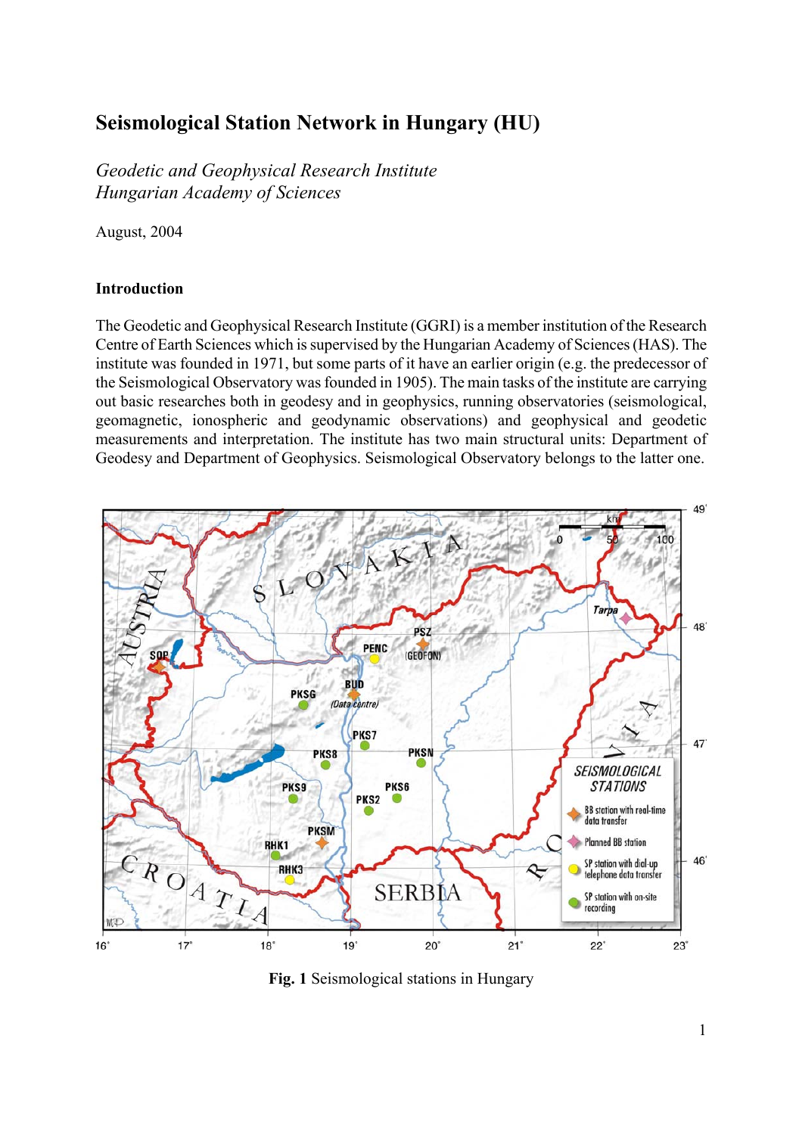# **Seismological Station Network in Hungary (HU)**

*Geodetic and Geophysical Research Institute Hungarian Academy of Sciences* 

August, 2004

## **Introduction**

The Geodetic and Geophysical Research Institute (GGRI) is a member institution of the Research Centre of Earth Sciences which is supervised by the Hungarian Academy of Sciences (HAS). The institute was founded in 1971, but some parts of it have an earlier origin (e.g. the predecessor of the Seismological Observatory was founded in 1905). The main tasks of the institute are carrying out basic researches both in geodesy and in geophysics, running observatories (seismological, geomagnetic, ionospheric and geodynamic observations) and geophysical and geodetic measurements and interpretation. The institute has two main structural units: Department of Geodesy and Department of Geophysics. Seismological Observatory belongs to the latter one.



**Fig. 1** Seismological stations in Hungary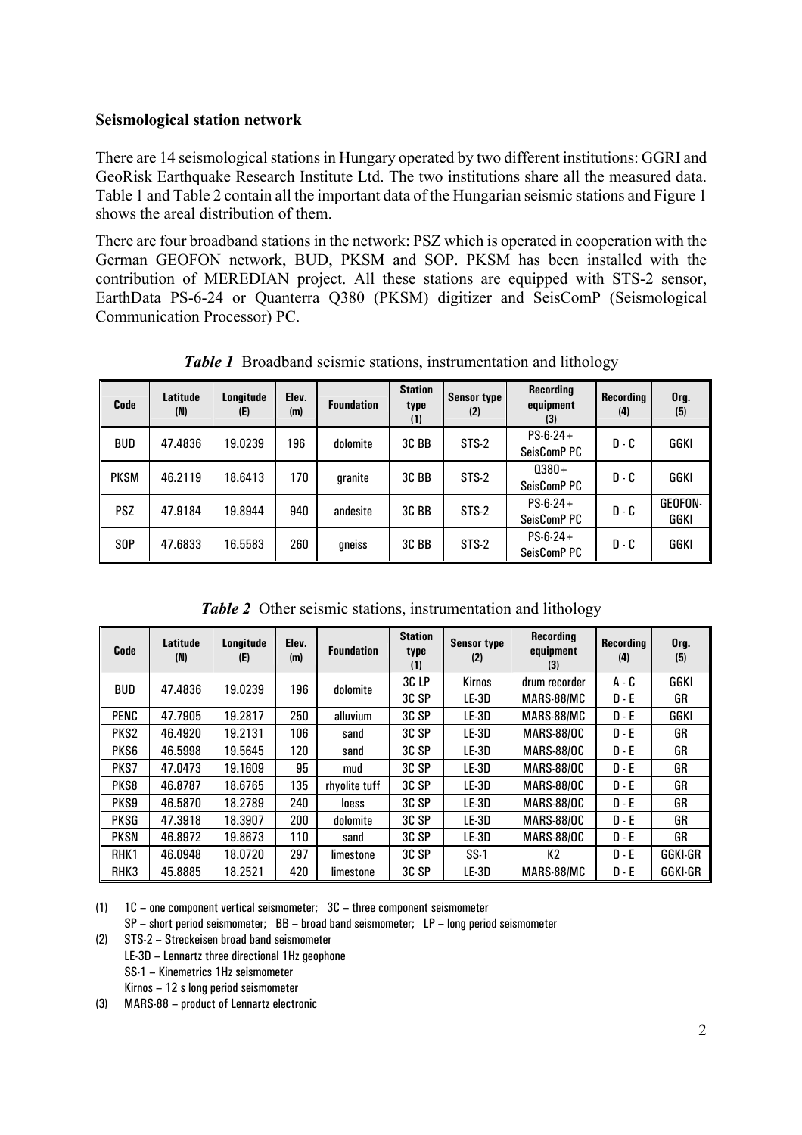## **Seismological station network**

There are 14 seismological stations in Hungary operated by two different institutions: GGRI and GeoRisk Earthquake Research Institute Ltd. The two institutions share all the measured data. Table 1 and Table 2 contain all the important data of the Hungarian seismic stations and Figure 1 shows the areal distribution of them.

There are four broadband stations in the network: PSZ which is operated in cooperation with the German GEOFON network, BUD, PKSM and SOP. PKSM has been installed with the contribution of MEREDIAN project. All these stations are equipped with STS-2 sensor, EarthData PS-6-24 or Quanterra Q380 (PKSM) digitizer and SeisComP (Seismological Communication Processor) PC.

| Code        | <b>Latitude</b><br>(N) | Longitude<br>(E) | Elev.<br>(m) | <b>Foundation</b> | <b>Station</b><br>type<br>(1) | <b>Sensor type</b><br>(2) | <b>Recording</b><br>equipment<br>(3) | Recording<br>(4) | Org.<br>(5)     |
|-------------|------------------------|------------------|--------------|-------------------|-------------------------------|---------------------------|--------------------------------------|------------------|-----------------|
| <b>BUD</b>  | 47.4836                | 19.0239          | 196          | dolomite          | 3C BB                         | STS-2                     | $PS-6-24+$<br>SeisComP PC            | $D - C$          | GGKI            |
| <b>PKSM</b> | 46.2119                | 18.6413          | 170          | granite           | 3C BB                         | STS-2                     | $0380 +$<br>SeisComP PC              | $D - C$          | GGKI            |
| <b>PSZ</b>  | 47.9184                | 19.8944          | 940          | andesite          | 3C BB                         | STS-2                     | $PS-6-24+$<br>SeisComP PC            | $D - C$          | GEOFON-<br>GGKI |
| <b>SOP</b>  | 47.6833                | 16.5583          | 260          | gneiss            | 3C BB                         | STS-2                     | $PS-6-24+$<br>SeisComP PC            | $D - C$          | GGKI            |

*Table 1* Broadband seismic stations, instrumentation and lithology

*Table 2* Other seismic stations, instrumentation and lithology

| Code             | Latitude<br>(N) | Longitude<br>(E) | Elev.<br>(m) | <b>Foundation</b> | <b>Station</b><br>type<br>(1) | <b>Sensor type</b><br>(2) | <b>Recording</b><br>equipment<br>(3) | <b>Recording</b><br>(4) | Org.<br>(5) |
|------------------|-----------------|------------------|--------------|-------------------|-------------------------------|---------------------------|--------------------------------------|-------------------------|-------------|
| <b>BUD</b>       | 47.4836         | 19.0239          | 196          | dolomite          | 3CLP                          | <b>Kirnos</b>             | drum recorder                        | $A - C$                 | GGKI        |
|                  |                 |                  |              |                   | 3C SP                         | LE-3D                     | MARS-88/MC                           | $D - E$                 | GR          |
| <b>PENC</b>      | 47.7905         | 19.2817          | 250          | alluvium          | 3C SP                         | LE-3D                     | MARS-88/MC                           | $D - E$                 | GGKI        |
| PKS <sub>2</sub> | 46.4920         | 19.2131          | 106          | sand              | 3C SP                         | LE-3D                     | <b>MARS-88/OC</b>                    | $D - E$                 | GR          |
| PKS6             | 46.5998         | 19.5645          | 120          | sand              | 3C SP                         | LE-3D                     | <b>MARS-88/OC</b>                    | $D - E$                 | GR          |
| PKS7             | 47.0473         | 19.1609          | 95           | mud               | 3C SP                         | LE-3D                     | <b>MARS-88/OC</b>                    | $D - E$                 | GR          |
| PKS8             | 46.8787         | 18.6765          | 135          | rhvolite tuff     | 3C SP                         | LE-3D                     | <b>MARS-88/OC</b>                    | $D - E$                 | GR          |
| PKS9             | 46.5870         | 18.2789          | 240          | loess             | 3C SP                         | LE-3D                     | <b>MARS-88/OC</b>                    | $D - E$                 | GR          |
| <b>PKSG</b>      | 47.3918         | 18.3907          | 200          | dolomite          | 3C SP                         | LE-3D                     | <b>MARS-88/OC</b>                    | $D - E$                 | GR          |
| <b>PKSN</b>      | 46.8972         | 19.8673          | 110          | sand              | 3C SP                         | LE-3D                     | <b>MARS-88/OC</b>                    | $D - E$                 | GR          |
| RHK <sub>1</sub> | 46.0948         | 18.0720          | 297          | limestone         | 3C SP                         | $SS-1$                    | К2                                   | $D - F$                 | GGKI-GR     |
| RHK3             | 45.8885         | 18.2521          | 420          | limestone         | 3C SP                         | LE-3D                     | MARS-88/MC                           | $D - E$                 | GGKI-GR     |

(1) 1C – one component vertical seismometer; 3C – three component seismometer

SP – short period seismometer; BB – broad band seismometer; LP – long period seismometer

(2) STS-2 – Streckeisen broad band seismometer

LE-3D – Lennartz three directional 1Hz geophone

SS-1 – Kinemetrics 1Hz seismometer

Kirnos – 12 s long period seismometer

(3) MARS-88 – product of Lennartz electronic